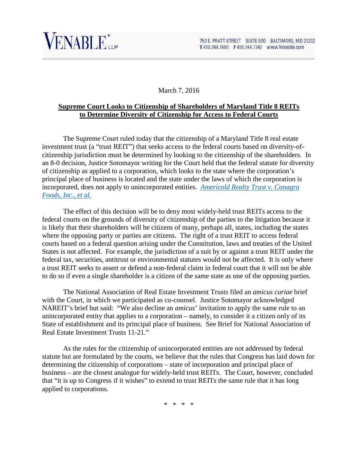

## March 7, 2016

## **Supreme Court Looks to Citizenship of Shareholders of Maryland Title 8 REITs to Determine Diversity of Citizenship for Access to Federal Courts**

The Supreme Court ruled today that the citizenship of a Maryland Title 8 real estate investment trust (a "trust REIT") that seeks access to the federal courts based on diversity-ofcitizenship jurisdiction must be determined by looking to the citizenship of the shareholders. In an 8-0 decision, Justice Sotomayor writing for the Court held that the federal statute for diversity of citizenship as applied to a corporation, which looks to the state where the corporation's principal place of business is located and the state under the laws of which the corporation is incorporated, does not apply to unincorporated entities. *[Americold Realty Trust v. Conagra](http://www.supremecourt.gov/opinions/15pdf/14-1382_d18f.pdf)  [Foods, Inc., et al](http://www.supremecourt.gov/opinions/15pdf/14-1382_d18f.pdf)*.

The effect of this decision will be to deny most widely-held trust REITs access to the federal courts on the grounds of diversity of citizenship of the parties to the litigation because it is likely that their shareholders will be citizens of many, perhaps all, states, including the states where the opposing party or parties are citizens. The right of a trust REIT to access federal courts based on a federal question arising under the Constitution, laws and treaties of the United States is not affected. For example, the jurisdiction of a suit by or against a trust REIT under the federal tax, securities, antitrust or environmental statutes would not be affected. It is only where a trust REIT seeks to assert or defend a non-federal claim in federal court that it will not be able to do so if even a single shareholder is a citizen of the same state as one of the opposing parties.

The National Association of Real Estate Investment Trusts filed an *amicus curiae* brief with the Court, in which we participated as co-counsel. Justice Sotomayor acknowledged NAREIT's brief but said: "We also decline an *amicus*' invitation to apply the same rule to an unincorporated entity that applies to a corporation – namely, to consider it a citizen only of its State of establishment and its principal place of business. See Brief for National Association of Real Estate Investment Trusts 11-21."

As the rules for the citizenship of unincorporated entities are not addressed by federal statute but are formulated by the courts, we believe that the rules that Congress has laid down for determining the citizenship of corporations – state of incorporation and principal place of business – are the closest analogue for widely-held trust REITs. The Court, however, concluded that "it is up to Congress if it wishes" to extend to trust REITs the same rule that it has long applied to corporations.

\* \* \* \*